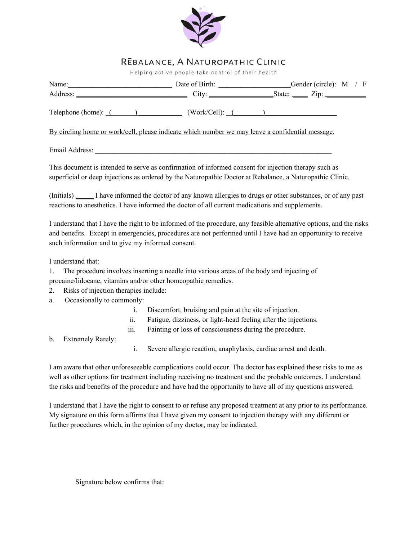

## **REBALANCE, A NATUROPATHIC CLINIC**<br>Helping active people take control of their health

| Name: Compare Compare Later Compare Compare Compare Compare Compare Compare Compare Compare Compare Compare Compare Compare Compare Compare Compare Compare Compare Compare Compare Compare Compare Compare Compare Compare Co                                                                             |  |  |  |
|------------------------------------------------------------------------------------------------------------------------------------------------------------------------------------------------------------------------------------------------------------------------------------------------------------|--|--|--|
|                                                                                                                                                                                                                                                                                                            |  |  |  |
| Telephone (home): $($ ( <i>Work/Cell</i> ): $($ ( <i>Work/Cell</i> ): $($ ( <i>Work/Cell</i> ): $($ ( <i>Work/Cell</i> ): $($ ( <i>Work/Cell</i> ): $($ ( <i>Work/Cell</i> ): $($ ( <i>Work/Cell</i> ): $($ ( <i>Work/Cell</i> ): $($ ( <i>Work/Cell</i> ): $($ ( <i>Work/Cell</i> ): $($ ( <i>More</i> ): |  |  |  |
| By circling home or work/cell, please indicate which number we may leave a confidential message.                                                                                                                                                                                                           |  |  |  |
|                                                                                                                                                                                                                                                                                                            |  |  |  |

This document is intended to serve as confirmation of informed consent for injection therapy such as superficial or deep injections as ordered by the Naturopathic Doctor at Rebalance, a Naturopathic Clinic.

(Initials) \_\_\_\_\_ I have informed the doctor of any known allergies to drugs or other substances, or of any past reactions to anesthetics. I have informed the doctor of all current medications and supplements.

I understand that I have the right to be informed of the procedure, any feasible alternative options, and the risks and benefits. Except in emergencies, procedures are not performed until I have had an opportunity to receive such information and to give my informed consent.

I understand that:

1. The procedure involves inserting a needle into various areas of the body and injecting of procaine/lidocane, vitamins and/or other homeopathic remedies.

- 2. Risks of injection therapies include:
- a. Occasionally to commonly:
	- i. Discomfort, bruising and pain at the site of injection.
	- ii. Fatigue, dizziness, or light-head feeling after the injections.
	- iii. Fainting or loss of consciousness during the procedure.

b. Extremely Rarely:

i. Severe allergic reaction, anaphylaxis, cardiac arrest and death.

I am aware that other unforeseeable complications could occur. The doctor has explained these risks to me as well as other options for treatment including receiving no treatment and the probable outcomes. I understand the risks and benefits of the procedure and have had the opportunity to have all of my questions answered.

I understand that I have the right to consent to or refuse any proposed treatment at any prior to its performance. My signature on this form affirms that I have given my consent to injection therapy with any different or further procedures which, in the opinion of my doctor, may be indicated.

Signature below confirms that: